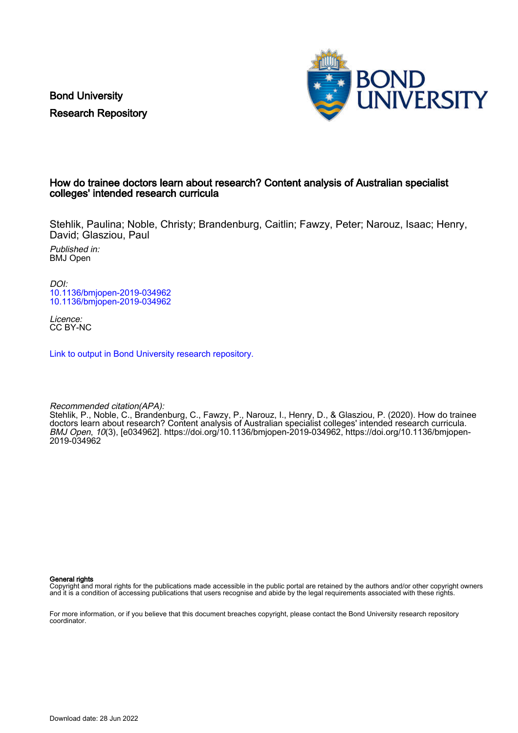Bond University Research Repository



# How do trainee doctors learn about research? Content analysis of Australian specialist colleges' intended research curricula

Stehlik, Paulina; Noble, Christy; Brandenburg, Caitlin; Fawzy, Peter; Narouz, Isaac; Henry, David; Glasziou, Paul

Published in: BMJ Open

DOI: [10.1136/bmjopen-2019-034962](https://doi.org/10.1136/bmjopen-2019-034962) [10.1136/bmjopen-2019-034962](https://doi.org/10.1136/bmjopen-2019-034962)

Licence: CC BY-NC

[Link to output in Bond University research repository.](https://research.bond.edu.au/en/publications/d80a0db0-bddb-45d9-8fe3-862a4c45ad91)

Recommended citation(APA):

Stehlik, P., Noble, C., Brandenburg, C., Fawzy, P., Narouz, I., Henry, D., & Glasziou, P. (2020). How do trainee doctors learn about research? Content analysis of Australian specialist colleges' intended research curricula. BMJ Open, 10(3), [e034962]. <https://doi.org/10.1136/bmjopen-2019-034962>, [https://doi.org/10.1136/bmjopen-](https://doi.org/10.1136/bmjopen-2019-034962)[2019-034962](https://doi.org/10.1136/bmjopen-2019-034962)

General rights

Copyright and moral rights for the publications made accessible in the public portal are retained by the authors and/or other copyright owners and it is a condition of accessing publications that users recognise and abide by the legal requirements associated with these rights.

For more information, or if you believe that this document breaches copyright, please contact the Bond University research repository coordinator.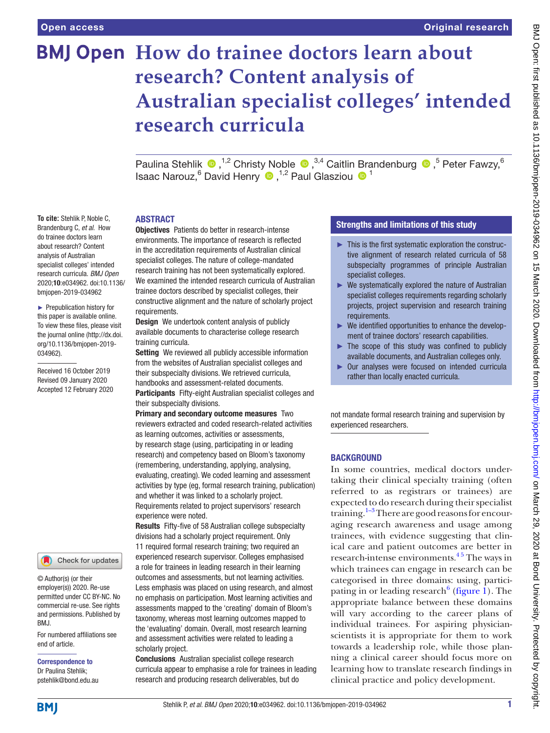**To cite:** Stehlik P, Noble C, Brandenburg C, *et al*. How do trainee doctors learn about research? Content analysis of Australian specialist colleges' intended research curricula. *BMJ Open* 2020;10:e034962. doi:10.1136/ bmjopen-2019-034962 ► Prepublication history for this paper is available online. To view these files, please visit the journal online (http://dx.doi. org/10.1136/bmjopen-2019-

034962).

Received 16 October 2019 Revised 09 January 2020 Accepted 12 February 2020

# **BMJ Open How do trainee doctors learn about research? Content analysis of Australian specialist colleges' intended research curricula**

PaulinaStehlik  $\bullet$ ,<sup>1,2</sup> Christy Noble  $\bullet$ ,<sup>3,4</sup> Caitlin Brandenburg  $\bullet$ ,<sup>5</sup> Peter Fawzy,<sup>6</sup> Isaac Narouz,<sup>6</sup> David Henry <sup>1,2</sup> Paul Glasziou <sup>1</sup>

## **ABSTRACT**

Objectives Patients do better in research-intense environments. The importance of research is reflected in the accreditation requirements of Australian clinical specialist colleges. The nature of college-mandated research training has not been systematically explored. We examined the intended research curricula of Australian trainee doctors described by specialist colleges, their constructive alignment and the nature of scholarly project requirements.

Design We undertook content analysis of publicly available documents to characterise college research training curricula.

Setting We reviewed all publicly accessible information from the websites of Australian specialist colleges and their subspecialty divisions. We retrieved curricula, handbooks and assessment-related documents. Participants Fifty-eight Australian specialist colleges and their subspecialty divisions.

Primary and secondary outcome measures Two reviewers extracted and coded research-related activities as learning outcomes, activities or assessments, by research stage (using, participating in or leading research) and competency based on Bloom's taxonomy (remembering, understanding, applying, analysing, evaluating, creating). We coded learning and assessment activities by type (eg, formal research training, publication) and whether it was linked to a scholarly project. Requirements related to project supervisors' research experience were noted.

Results Fifty-five of 58 Australian college subspecialty divisions had a scholarly project requirement. Only 11 required formal research training; two required an experienced research supervisor. Colleges emphasised a role for trainees in leading research in their learning outcomes and assessments, but not learning activities. Less emphasis was placed on using research, and almost no emphasis on participation. Most learning activities and assessments mapped to the 'creating' domain of Bloom's taxonomy, whereas most learning outcomes mapped to the 'evaluating' domain. Overall, most research learning and assessment activities were related to leading a scholarly project.

Conclusions Australian specialist college research curricula appear to emphasise a role for trainees in leading research and producing research deliverables, but do

## Strengths and limitations of this study

- ► This is the first systematic exploration the constructive alignment of research related curricula of 58 subspecialty programmes of principle Australian specialist colleges.
- ► We systematically explored the nature of Australian specialist colleges requirements regarding scholarly projects, project supervision and research training requirements.
- ► We identified opportunities to enhance the development of trainee doctors' research capabilities.
- ► The scope of this study was confined to publicly available documents, and Australian colleges only.
- ► Our analyses were focused on intended curricula rather than locally enacted curricula.

not mandate formal research training and supervision by experienced researchers.

## **BACKGROUND**

In some countries, medical doctors undertaking their clinical specialty training (often referred to as registrars or trainees) are expected to do research during their specialist training.<sup>1–3</sup> There are good reasons for encouraging research awareness and usage among trainees, with evidence suggesting that clinical care and patient outcomes are better in research-intense environments.<sup>45</sup> The ways in which trainees can engage in research can be categorised in three domains: using, participating in or leading research $^6$  $^6$  [\(figure](#page-2-0) 1). The appropriate balance between these domains will vary according to the career plans of individual trainees. For aspiring physicianscientists it is appropriate for them to work towards a leadership role, while those planning a clinical career should focus more on learning how to translate research findings in clinical practice and policy development.

**BMI** 

end of article.

BMJ.

Correspondence to Dr Paulina Stehlik; pstehlik@bond.edu.au

© Author(s) (or their employer(s)) 2020. Re-use permitted under CC BY-NC. No commercial re-use. See rights and permissions. Published by

For numbered affiliations see

Check for updates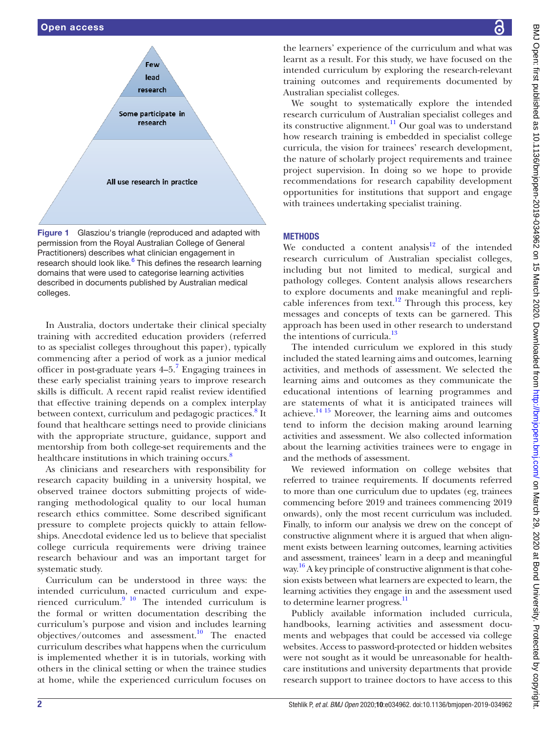

<span id="page-2-0"></span>Figure 1 Glasziou's triangle (reproduced and adapted with permission from the Royal Australian College of General Practitioners) describes what clinician engagement in research should look like*.* [6](#page-7-2) This defines the research learning domains that were used to categorise learning activities described in documents published by Australian medical colleges.

In Australia, doctors undertake their clinical specialty training with accredited education providers (referred to as specialist colleges throughout this paper), typically commencing after a period of work as a junior medical officer in post-graduate years  $4-5$ .<sup>7</sup> Engaging trainees in these early specialist training years to improve research skills is difficult. A recent rapid realist review identified that effective training depends on a complex interplay between context, curriculum and pedagogic practices.<sup>[8](#page-7-4)</sup> It found that healthcare settings need to provide clinicians with the appropriate structure, guidance, support and mentorship from both college-set requirements and the healthcare institutions in which training occurs.<sup>8</sup>

As clinicians and researchers with responsibility for research capacity building in a university hospital, we observed trainee doctors submitting projects of wideranging methodological quality to our local human research ethics committee. Some described significant pressure to complete projects quickly to attain fellowships. Anecdotal evidence led us to believe that specialist college curricula requirements were driving trainee research behaviour and was an important target for systematic study.

Curriculum can be understood in three ways: the intended curriculum, enacted curriculum and experienced curriculum. $9^{10}$  The intended curriculum is the formal or written documentation describing the curriculum's purpose and vision and includes learning objectives/outcomes and assessment[.10](#page-7-6) The enacted curriculum describes what happens when the curriculum is implemented whether it is in tutorials, working with others in the clinical setting or when the trainee studies at home, while the experienced curriculum focuses on

the learners' experience of the curriculum and what was learnt as a result. For this study, we have focused on the intended curriculum by exploring the research-relevant training outcomes and requirements documented by Australian specialist colleges.

We sought to systematically explore the intended research curriculum of Australian specialist colleges and its constructive alignment.<sup>[11](#page-7-7)</sup> Our goal was to understand how research training is embedded in specialist college curricula, the vision for trainees' research development, the nature of scholarly project requirements and trainee project supervision. In doing so we hope to provide recommendations for research capability development opportunities for institutions that support and engage with trainees undertaking specialist training.

## **METHODS**

We conducted a content analysis $12$  of the intended research curriculum of Australian specialist colleges, including but not limited to medical, surgical and pathology colleges. Content analysis allows researchers to explore documents and make meaningful and replicable inferences from  $text{text.}^{12}$  Through this process, key messages and concepts of texts can be garnered. This approach has been used in other research to understand the intentions of curricula.<sup>[13](#page-7-9)</sup>

The intended curriculum we explored in this study included the stated learning aims and outcomes, learning activities, and methods of assessment. We selected the learning aims and outcomes as they communicate the educational intentions of learning programmes and are statements of what it is anticipated trainees will achieve. $^{14}$ <sup>15</sup> Moreover, the learning aims and outcomes tend to inform the decision making around learning activities and assessment. We also collected information about the learning activities trainees were to engage in and the methods of assessment.

We reviewed information on college websites that referred to trainee requirements. If documents referred to more than one curriculum due to updates (eg, trainees commencing before 2019 and trainees commencing 2019 onwards), only the most recent curriculum was included. Finally, to inform our analysis we drew on the concept of constructive alignment where it is argued that when alignment exists between learning outcomes, learning activities and assessment, trainees' learn in a deep and meaningful way.<sup>[16](#page-7-11)</sup> A key principle of constructive alignment is that cohesion exists between what learners are expected to learn, the learning activities they engage in and the assessment used to determine learner progress.<sup>11</sup>

Publicly available information included curricula, handbooks, learning activities and assessment documents and webpages that could be accessed via college websites. Access to password-protected or hidden websites were not sought as it would be unreasonable for healthcare institutions and university departments that provide research support to trainee doctors to have access to this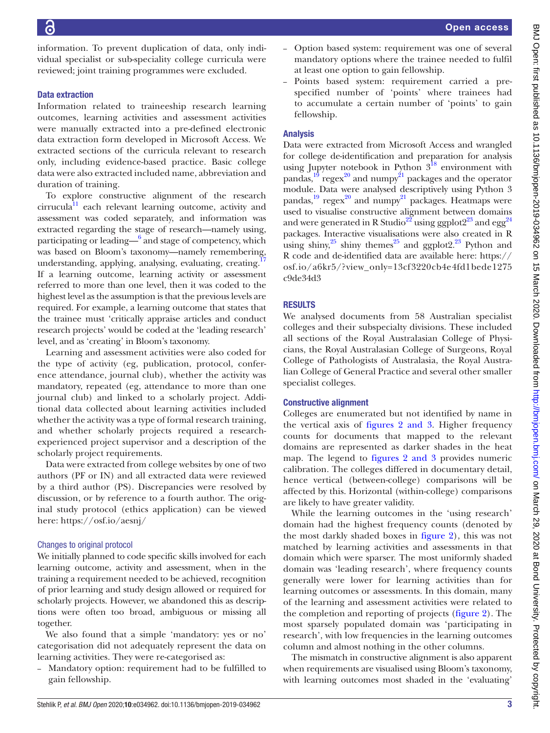information. To prevent duplication of data, only individual specialist or sub-speciality college curricula were reviewed; joint training programmes were excluded.

## Data extraction

 $\mathbf C$ 

Information related to traineeship research learning outcomes, learning activities and assessment activities were manually extracted into a pre-defined electronic data extraction form developed in Microsoft Access. We extracted sections of the curricula relevant to research only, including evidence-based practice. Basic college data were also extracted included name, abbreviation and duration of training.

To explore constructive alignment of the research  $cirrucula<sup>11</sup>$  each relevant learning outcome, activity and assessment was coded separately, and information was extracted regarding the stage of research—namely using, participating or leading—<sup>[6](#page-7-2)</sup> and stage of competency, which was based on Bloom's taxonomy—namely remembering, understanding, applying, analysing, evaluating, creating.[17](#page-7-12) If a learning outcome, learning activity or assessment referred to more than one level, then it was coded to the highest level as the assumption is that the previous levels are required. For example, a learning outcome that states that the trainee must 'critically appraise articles and conduct research projects' would be coded at the 'leading research' level, and as 'creating' in Bloom's taxonomy.

Learning and assessment activities were also coded for the type of activity (eg, publication, protocol, conference attendance, journal club), whether the activity was mandatory, repeated (eg, attendance to more than one journal club) and linked to a scholarly project. Additional data collected about learning activities included whether the activity was a type of formal research training, and whether scholarly projects required a researchexperienced project supervisor and a description of the scholarly project requirements.

Data were extracted from college websites by one of two authors (PF or IN) and all extracted data were reviewed by a third author (PS). Discrepancies were resolved by discussion, or by reference to a fourth author. The original study protocol (ethics application) can be viewed here: <https://osf.io/aesnj/>

## Changes to original protocol

We initially planned to code specific skills involved for each learning outcome, activity and assessment, when in the training a requirement needed to be achieved, recognition of prior learning and study design allowed or required for scholarly projects. However, we abandoned this as descriptions were often too broad, ambiguous or missing all together.

We also found that a simple 'mandatory: yes or no' categorisation did not adequately represent the data on learning activities. They were re-categorised as:

– Mandatory option: requirement had to be fulfilled to gain fellowship.

- Option based system: requirement was one of several mandatory options where the trainee needed to fulfil at least one option to gain fellowship.
- Points based system: requirement carried a prespecified number of 'points' where trainees had to accumulate a certain number of 'points' to gain fellowship.

# Analysis

Data were extracted from Microsoft Access and wrangled for college de-identification and preparation for analysis using Jupyter notebook in Python  $3^{18}$  environment with pandas, $19 \text{ regex}^{20}$  $19 \text{ regex}^{20}$  $19 \text{ regex}^{20}$  and numpy<sup>21</sup> packages and the operator module. Data were analysed descriptively using Python 3 pandas, $19$  regex $20$  and numpy<sup>[21](#page-7-16)</sup> packages. Heatmaps were used to visualise constructive alignment between domains and were generated in R Studio<sup>[22](#page-7-17)</sup> using ggplot<sup>[23](#page-7-18)</sup> and egg<sup>24</sup> packages. Interactive visualisations were also created in R using shiny, $25 \text{ ship}$  $25 \text{ ship}$  shiny themes<sup>25</sup> and ggplot2.<sup>[23](#page-7-18)</sup> Python and R code and de-identified data are available here: [https://](https://osf.io/a6kr5/?view_only=13cf3220cb4e4fd1bede1275c9de34d3) [osf.io/a6kr5/?view\\_only=13cf3220cb4e4fd1bede1275](https://osf.io/a6kr5/?view_only=13cf3220cb4e4fd1bede1275c9de34d3) [c9de34d3](https://osf.io/a6kr5/?view_only=13cf3220cb4e4fd1bede1275c9de34d3)

# **RESULTS**

We analysed documents from 58 Australian specialist colleges and their subspecialty divisions. These included all sections of the Royal Australasian College of Physicians, the Royal Australasian College of Surgeons, Royal College of Pathologists of Australasia, the Royal Australian College of General Practice and several other smaller specialist colleges.

# Constructive alignment

Colleges are enumerated but not identified by name in the vertical axis of figures [2 and 3.](#page-4-0) Higher frequency counts for documents that mapped to the relevant domains are represented as darker shades in the heat map. The legend to figures [2 and 3](#page-4-0) provides numeric calibration. The colleges differed in documentary detail, hence vertical (between-college) comparisons will be affected by this. Horizontal (within-college) comparisons are likely to have greater validity.

While the learning outcomes in the 'using research' domain had the highest frequency counts (denoted by the most darkly shaded boxes in [figure](#page-4-0) 2), this was not matched by learning activities and assessments in that domain which were sparser. The most uniformly shaded domain was 'leading research', where frequency counts generally were lower for learning activities than for learning outcomes or assessments. In this domain, many of the learning and assessment activities were related to the completion and reporting of projects [\(figure](#page-4-0) 2). The most sparsely populated domain was 'participating in research', with low frequencies in the learning outcomes column and almost nothing in the other columns.

The mismatch in constructive alignment is also apparent when requirements are visualised using Bloom's taxonomy, with learning outcomes most shaded in the 'evaluating'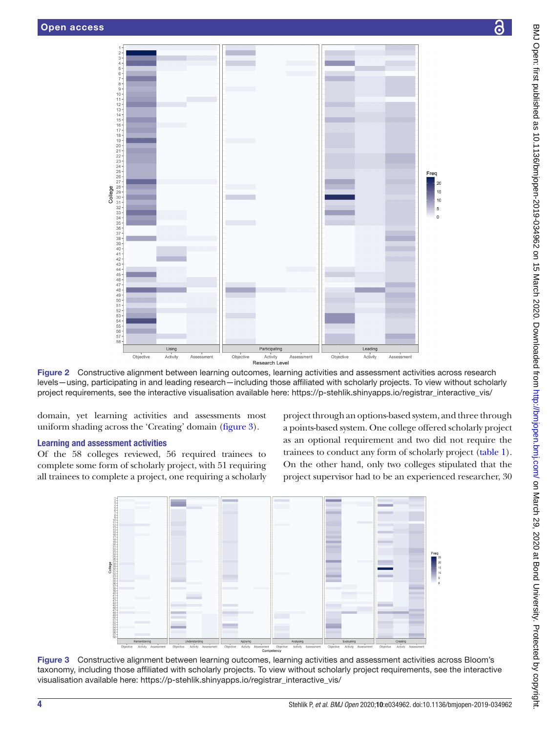

Figure 2 Constructive alignment between learning outcomes, learning activities and assessment activities across research levels—using, participating in and leading research—including those affiliated with scholarly projects. To view without scholarly project requirements, see the interactive visualisation available here: [https://p-stehlik.shinyapps.io/registrar\\_interactive\\_vis/](https://p-stehlik.shinyapps.io/registrar_interactive_vis/)

domain, yet learning activities and assessments most uniform shading across the 'Creating' domain ([figure](#page-4-1) 3).

# Learning and assessment activities

Of the 58 colleges reviewed, 56 required trainees to complete some form of scholarly project, with 51 requiring all trainees to complete a project, one requiring a scholarly

<span id="page-4-0"></span>project through an options-based system, and three through a points-based system. One college offered scholarly project as an optional requirement and two did not require the trainees to conduct any form of scholarly project ([table](#page-5-0) 1). On the other hand, only two colleges stipulated that the project supervisor had to be an experienced researcher, 30



<span id="page-4-1"></span>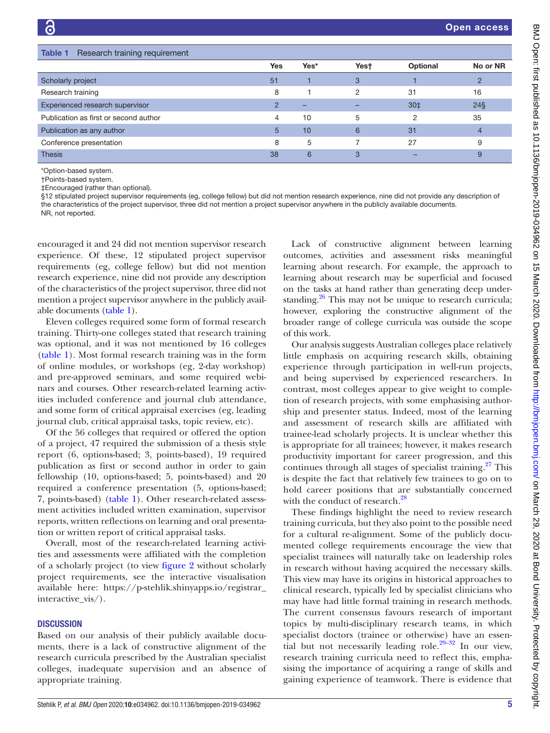<span id="page-5-0"></span>

| Research training requirement<br>Table 1 |     |      |               |          |          |
|------------------------------------------|-----|------|---------------|----------|----------|
|                                          | Yes | Yes* | Yest          | Optional | No or NR |
| Scholarly project                        | 51  |      | 3             |          |          |
| Research training                        | 8   |      | $\mathcal{P}$ | 31       | 16       |
| Experienced research supervisor          |     | -    |               | $30+$    | 24§      |
| Publication as first or second author    | 4   | 10   | 5             |          | 35       |
| Publication as any author                | 5   | 10   | 6             | 31       | 4        |
| Conference presentation                  | 8   | 5    |               | 27       | 9        |
| <b>Thesis</b>                            | 38  | 6    | 3             |          | 9        |

\*Option-based system.

†Points-based system.

‡Encouraged (rather than optional).

§12 stipulated project supervisor requirements (eg, college fellow) but did not mention research experience, nine did not provide any description of the characteristics of the project supervisor, three did not mention a project supervisor anywhere in the publicly available documents.

NR, not reported.

encouraged it and 24 did not mention supervisor research experience. Of these, 12 stipulated project supervisor requirements (eg, college fellow) but did not mention research experience, nine did not provide any description of the characteristics of the project supervisor, three did not mention a project supervisor anywhere in the publicly available documents [\(table](#page-5-0) 1).

Eleven colleges required some form of formal research training. Thirty-one colleges stated that research training was optional, and it was not mentioned by 16 colleges ([table](#page-5-0) 1). Most formal research training was in the form of online modules, or workshops (eg, 2-day workshop) and pre-approved seminars, and some required webinars and courses. Other research-related learning activities included conference and journal club attendance, and some form of critical appraisal exercises (eg, leading journal club, critical appraisal tasks, topic review, etc).

Of the 56 colleges that required or offered the option of a project, 47 required the submission of a thesis style report (6, options-based; 3, points-based), 19 required publication as first or second author in order to gain fellowship (10, options-based; 5, points-based) and 20 required a conference presentation (5, options-based; 7, points-based) [\(table](#page-5-0) 1). Other research-related assessment activities included written examination, supervisor reports, written reflections on learning and oral presentation or written report of critical appraisal tasks.

Overall, most of the research-related learning activities and assessments were affiliated with the completion of a scholarly project (to view [figure](#page-4-0) 2 without scholarly project requirements, see the interactive visualisation available here: [https://p-stehlik.shinyapps.io/registrar\\_](https://p-stehlik.shinyapps.io/registrar_interactive_vis/) [interactive\\_vis/](https://p-stehlik.shinyapps.io/registrar_interactive_vis/)).

#### **DISCUSSION**

Based on our analysis of their publicly available documents, there is a lack of constructive alignment of the research curricula prescribed by the Australian specialist colleges, inadequate supervision and an absence of appropriate training.

Lack of constructive alignment between learning outcomes, activities and assessment risks meaningful learning about research. For example, the approach to learning about research may be superficial and focused on the tasks at hand rather than generating deep understanding. $26$  This may not be unique to research curricula; however, exploring the constructive alignment of the broader range of college curricula was outside the scope of this work.

Our analysis suggests Australian colleges place relatively little emphasis on acquiring research skills, obtaining experience through participation in well-run projects, and being supervised by experienced researchers. In contrast, most colleges appear to give weight to completion of research projects, with some emphasising authorship and presenter status. Indeed, most of the learning and assessment of research skills are affiliated with trainee-lead scholarly projects. It is unclear whether this is appropriate for all trainees; however, it makes research productivity important for career progression, and this continues through all stages of specialist training.<sup>27</sup> This is despite the fact that relatively few trainees to go on to hold career positions that are substantially concerned with the conduct of research.<sup>[28](#page-7-23)</sup>

These findings highlight the need to review research training curricula, but they also point to the possible need for a cultural re-alignment. Some of the publicly documented college requirements encourage the view that specialist trainees will naturally take on leadership roles in research without having acquired the necessary skills. This view may have its origins in historical approaches to clinical research, typically led by specialist clinicians who may have had little formal training in research methods. The current consensus favours research of important topics by multi-disciplinary research teams, in which specialist doctors (trainee or otherwise) have an essential but not necessarily leading role. $29-32$  In our view, research training curricula need to reflect this, emphasising the importance of acquiring a range of skills and gaining experience of teamwork. There is evidence that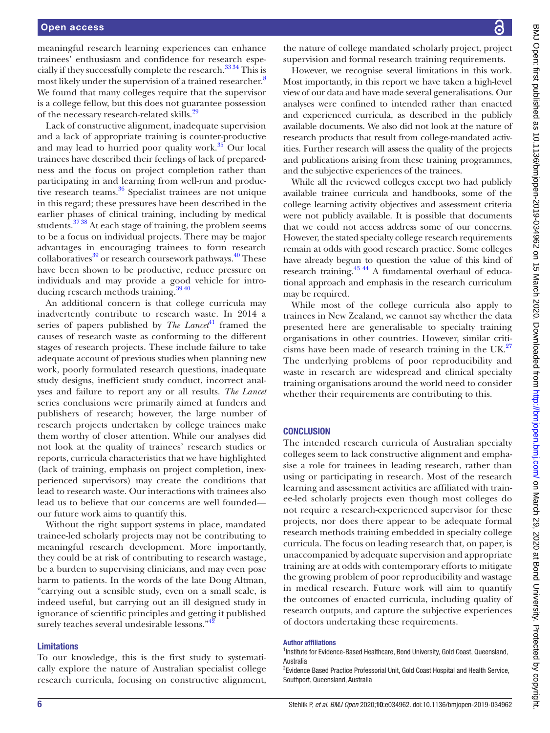#### Open access

meaningful research learning experiences can enhance trainees' enthusiasm and confidence for research especially if they successfully complete the research.<sup>33 34</sup> This is most likely under the supervision of a trained researcher.<sup>[8](#page-7-4)</sup> We found that many colleges require that the supervisor is a college fellow, but this does not guarantee possession of the necessary research-related skills.<sup>29</sup>

Lack of constructive alignment, inadequate supervision and a lack of appropriate training is counter-productive and may lead to hurried poor quality work.<sup>[35](#page-7-26)</sup> Our local trainees have described their feelings of lack of preparedness and the focus on project completion rather than participating in and learning from well-run and productive research teams.<sup>36</sup> Specialist trainees are not unique in this regard; these pressures have been described in the earlier phases of clinical training, including by medical students.<sup>3738</sup> At each stage of training, the problem seems to be a focus on individual projects. There may be major advantages in encouraging trainees to form research collaboratives $39$  or research coursework pathways.  $40$  These have been shown to be productive, reduce pressure on individuals and may provide a good vehicle for intro-ducing research methods training.<sup>[39 40](#page-8-0)</sup>

An additional concern is that college curricula may inadvertently contribute to research waste. In 2014 a series of papers published by *The Lancet*<sup>41</sup> framed the causes of research waste as conforming to the different stages of research projects. These include failure to take adequate account of previous studies when planning new work, poorly formulated research questions, inadequate study designs, inefficient study conduct, incorrect analyses and failure to report any or all results. *The Lancet* series conclusions were primarily aimed at funders and publishers of research; however, the large number of research projects undertaken by college trainees make them worthy of closer attention. While our analyses did not look at the quality of trainees' research studies or reports, curricula characteristics that we have highlighted (lack of training, emphasis on project completion, inexperienced supervisors) may create the conditions that lead to research waste. Our interactions with trainees also lead us to believe that our concerns are well founded our future work aims to quantify this.

Without the right support systems in place, mandated trainee-led scholarly projects may not be contributing to meaningful research development. More importantly, they could be at risk of contributing to research wastage, be a burden to supervising clinicians, and may even pose harm to patients. In the words of the late Doug Altman, "carrying out a sensible study, even on a small scale, is indeed useful, but carrying out an ill designed study in ignorance of scientific principles and getting it published surely teaches several undesirable lessons."<sup>[42](#page-8-3)</sup>

#### Limitations

To our knowledge, this is the first study to systematically explore the nature of Australian specialist college research curricula, focusing on constructive alignment,

the nature of college mandated scholarly project, project supervision and formal research training requirements.

However, we recognise several limitations in this work. Most importantly, in this report we have taken a high-level view of our data and have made several generalisations. Our analyses were confined to intended rather than enacted and experienced curricula, as described in the publicly available documents. We also did not look at the nature of research products that result from college-mandated activities. Further research will assess the quality of the projects and publications arising from these training programmes, and the subjective experiences of the trainees.

While all the reviewed colleges except two had publicly available trainee curricula and handbooks, some of the college learning activity objectives and assessment criteria were not publicly available. It is possible that documents that we could not access address some of our concerns. However, the stated specialty college research requirements remain at odds with good research practice. Some colleges have already begun to question the value of this kind of research training.<sup>43 44</sup> A fundamental overhaul of educational approach and emphasis in the research curriculum may be required.

While most of the college curricula also apply to trainees in New Zealand, we cannot say whether the data presented here are generalisable to specialty training organisations in other countries. However, similar criticisms have been made of research training in the UK. $^{27}$  $^{27}$  $^{27}$ The underlying problems of poor reproducibility and waste in research are widespread and clinical specialty training organisations around the world need to consider whether their requirements are contributing to this.

#### **CONCLUSION**

The intended research curricula of Australian specialty colleges seem to lack constructive alignment and emphasise a role for trainees in leading research, rather than using or participating in research. Most of the research learning and assessment activities are affiliated with trainee-led scholarly projects even though most colleges do not require a research-experienced supervisor for these projects, nor does there appear to be adequate formal research methods training embedded in specialty college curricula. The focus on leading research that, on paper, is unaccompanied by adequate supervision and appropriate training are at odds with contemporary efforts to mitigate the growing problem of poor reproducibility and wastage in medical research. Future work will aim to quantify the outcomes of enacted curricula, including quality of research outputs, and capture the subjective experiences of doctors undertaking these requirements.

#### Author affiliations

<sup>&</sup>lt;sup>1</sup>Institute for Evidence-Based Healthcare, Bond University, Gold Coast, Queensland, Australia

<sup>&</sup>lt;sup>2</sup> Evidence Based Practice Professorial Unit, Gold Coast Hospital and Health Service, Southport, Queensland, Australia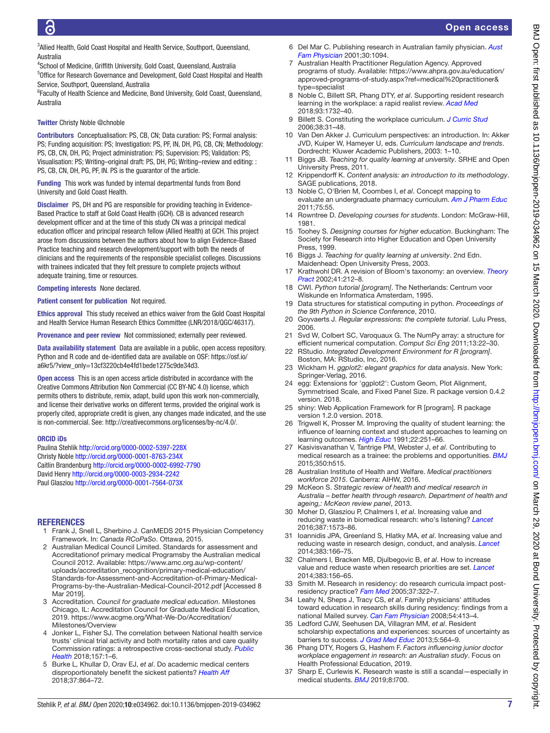<sup>3</sup>Allied Health, Gold Coast Hospital and Health Service, Southport, Queensland, Australia

4 School of Medicine, Griffith University, Gold Coast, Queensland, Australia 5 Office for Research Governance and Development, Gold Coast Hospital and Health Service, Southport, Queensland, Australia

<sup>6</sup> Faculty of Health Science and Medicine, Bond University, Gold Coast, Queensland, Australia

#### Twitter Christy Noble [@chnoble](https://twitter.com/chnoble)

Contributors Conceptualisation: PS, CB, CN; Data curation: PS; Formal analysis: PS; Funding acquisition: PS; Investigation: PS, PF, IN, DH, PG, CB, CN; Methodology: PS, CB, CN, DH, PG; Project administration: PS; Supervision: PS; Validation: PS; Visualisation: PS; Writing–original draft: PS, DH, PG; Writing–review and editing: : PS, CB, CN, DH, PG, PF, IN. PS is the guarantor of the article.

Funding This work was funded by internal departmental funds from Bond University and Gold Coast Health.

Disclaimer PS, DH and PG are responsible for providing teaching in Evidence-Based Practice to staff at Gold Coast Health (GCH). CB is advanced research development officer and at the time of this study CN was a principal medical education officer and principal research fellow (Allied Health) at GCH. This project arose from discussions between the authors about how to align Evidence-Based Practice teaching and research development/support with both the needs of clinicians and the requirements of the responsible specialist colleges. Discussions with trainees indicated that they felt pressure to complete projects without adequate training, time or resources.

Competing interests None declared.

Patient consent for publication Not required.

Ethics approval This study received an ethics waiver from the Gold Coast Hospital and Health Service Human Research Ethics Committee (LNR/2018/QGC/46317).

Provenance and peer review Not commissioned; externally peer reviewed.

Data availability statement Data are available in a public, open access repository. Python and R code and de-identified data are available on OSF: [https://osf.io/](https://osf.io/a6kr5/?view_only=13cf3220cb4e4fd1bede1275c9de34d3) [a6kr5/?view\\_only=13cf3220cb4e4fd1bede1275c9de34d3](https://osf.io/a6kr5/?view_only=13cf3220cb4e4fd1bede1275c9de34d3).

Open access This is an open access article distributed in accordance with the Creative Commons Attribution Non Commercial (CC BY-NC 4.0) license, which permits others to distribute, remix, adapt, build upon this work non-commercially, and license their derivative works on different terms, provided the original work is properly cited, appropriate credit is given, any changes made indicated, and the use is non-commercial. See: [http://creativecommons.org/licenses/by-nc/4.0/.](http://creativecommons.org/licenses/by-nc/4.0/)

#### ORCID iDs

Paulina Stehlik <http://orcid.org/0000-0002-5397-228X> Christy Noble <http://orcid.org/0000-0001-8763-234X> Caitlin Brandenburg <http://orcid.org/0000-0002-6992-7790> David Henry<http://orcid.org/0000-0003-2934-2242> Paul Glasziou <http://orcid.org/0000-0001-7564-073X>

#### References

- <span id="page-7-0"></span>1 Frank J, Snell L, Sherbino J. CanMEDS 2015 Physician Competency Framework. In: *Canada RCoPaSo*. Ottawa, 2015.
- 2 Australian Medical Council Limited. Standards for assessment and Accreditationof primary medical Programsby the Australian medical Council 2012. Available: [https://www.amc.org.au/wp-content/](https://www.amc.org.au/wp-content/uploads/accreditation_recognition/primary-medical-education/Standards-for-Assessment-and-Accreditation-of-Primary-Medical-Programs-by-the-Australian-Medical-Council-2012.pdf) [uploads/accreditation\\_recognition/primary-medical-education/](https://www.amc.org.au/wp-content/uploads/accreditation_recognition/primary-medical-education/Standards-for-Assessment-and-Accreditation-of-Primary-Medical-Programs-by-the-Australian-Medical-Council-2012.pdf) [Standards-for-Assessment-and-Accreditation-of-Primary-Medical-](https://www.amc.org.au/wp-content/uploads/accreditation_recognition/primary-medical-education/Standards-for-Assessment-and-Accreditation-of-Primary-Medical-Programs-by-the-Australian-Medical-Council-2012.pdf)[Programs-by-the-Australian-Medical-Council-2012.pdf](https://www.amc.org.au/wp-content/uploads/accreditation_recognition/primary-medical-education/Standards-for-Assessment-and-Accreditation-of-Primary-Medical-Programs-by-the-Australian-Medical-Council-2012.pdf) [Accessed 8 Mar 2019].
- 3 Accreditation. *Council for graduate medical education*. Milestones Chicago, IL: Accreditation Council for Graduate Medical Education, 2019. [https://www.acgme.org/What-We-Do/Accreditation/](https://www.acgme.org/What-We-Do/Accreditation/Milestones/Overview) [Milestones/Overview](https://www.acgme.org/What-We-Do/Accreditation/Milestones/Overview)
- <span id="page-7-1"></span>4 Jonker L, Fisher SJ. The correlation between National health service trusts' clinical trial activity and both mortality rates and care quality Commission ratings: a retrospective cross-sectional study. *[Public](http://dx.doi.org/10.1016/j.puhe.2017.12.022)  [Health](http://dx.doi.org/10.1016/j.puhe.2017.12.022)* 2018;157:1–6.
- 5 Burke L, Khullar D, Orav EJ, *et al*. Do academic medical centers disproportionately benefit the sickest patients? *[Health Aff](http://dx.doi.org/10.1377/hlthaff.2017.1250)* 2018;37:864–72.
- <span id="page-7-2"></span>6 Del Mar C. Publishing research in Australian family physician. *[Aust](http://www.ncbi.nlm.nih.gov/pubmed/11759462)  [Fam Physician](http://www.ncbi.nlm.nih.gov/pubmed/11759462)* 2001;30:1094.
- <span id="page-7-3"></span>Australian Health Practitioner Regulation Agency. Approved programs of study. Available: [https://www.ahpra.gov.au/education/](https://www.ahpra.gov.au/education/approved-programs-of-study.aspx?ref=medical%20practitioner&type=specialist) [approved-programs-of-study.aspx?ref=medical%20practitioner&](https://www.ahpra.gov.au/education/approved-programs-of-study.aspx?ref=medical%20practitioner&type=specialist) [type=specialist](https://www.ahpra.gov.au/education/approved-programs-of-study.aspx?ref=medical%20practitioner&type=specialist)
- <span id="page-7-4"></span>8 Noble C, Billett SR, Phang DTY, *et al*. Supporting resident research learning in the workplace: a rapid realist review. *[Acad Med](http://dx.doi.org/10.1097/ACM.0000000000002416)* 2018;93:1732–40.
- <span id="page-7-5"></span>9 Billett S. Constituting the workplace curriculum. *[J Curric Stud](http://dx.doi.org/10.1080/00220270500153781)* 2006;38:31–48.
- <span id="page-7-6"></span>10 Van Den Akker J. Curriculum perspectives: an introduction. In: Akker JVD, Kuiper W, Hameyer U, eds. *Curriculum landscape and trends*. Dordrecht: Kluwer Academic Publishers, 2003: 1–10.
- <span id="page-7-7"></span>11 Biggs JB. *Teaching for quality learning at university*. SRHE and Open University Press, 2011.
- <span id="page-7-8"></span>12 Krippendorff K. *Content analysis: an introduction to its methodology*. SAGE publications, 2018.
- <span id="page-7-9"></span>13 Noble C, O'Brien M, Coombes I, *et al*. Concept mapping to evaluate an undergraduate pharmacy curriculum. *[Am J Pharm Educ](http://dx.doi.org/10.5688/ajpe75355)* 2011;75:55.
- <span id="page-7-10"></span>14 Rowntree D. *Developing courses for students*. London: McGraw-Hill, 1981.
- 15 Toohey S. *Designing courses for higher education*. Buckingham: The Society for Research into Higher Education and Open University Press, 1999.
- <span id="page-7-11"></span>16 Biggs J. *Teaching for quality learning at university*. 2nd Edn. Maidenhead: Open University Press, 2003.
- <span id="page-7-12"></span>17 Krathwohl DR. A revision of Bloom's taxonomy: an overview. *[Theory](http://dx.doi.org/10.1207/s15430421tip4104_2)  [Pract](http://dx.doi.org/10.1207/s15430421tip4104_2)* 2002;41:212–8.
- <span id="page-7-13"></span>18 CWI. *Python tutorial [program]*. The Netherlands: Centrum voor Wiskunde en Informatica Amsterdam, 1995.
- <span id="page-7-14"></span>19 Data structures for statistical computing in python. *Proceedings of the 9th Python in Science Conference*, 2010.
- <span id="page-7-15"></span>20 Goyvaerts J. *Regular expressions: the complete tutorial*. Lulu Press, 2006.
- <span id="page-7-16"></span>21 Svd W, Colbert SC, Varoquaux G. The NumPy array: a structure for efficient numerical computation. *Comput Sci Eng* 2011;13:22–30.
- <span id="page-7-17"></span>22 RStudio. *Integrated Development Environment for R [program]*. Boston, MA: RStudio, Inc, 2016.
- <span id="page-7-18"></span>23 Wickham H. *ggplot2: elegant graphics for data analysis*. New York: Springer-Verlag, 2016.
- <span id="page-7-19"></span>24 egg: Extensions for 'ggplot2': Custom Geom, Plot Alignment, Symmetrised Scale, and Fixed Panel Size. R package version 0.4.2 version. 2018.
- <span id="page-7-20"></span>25 shiny: Web Application Framework for R [program]. R package version 1.2.0 version. 2018.
- <span id="page-7-21"></span>26 Trigwell K, Prosser M. Improving the quality of student learning: the influence of learning context and student approaches to learning on learning outcomes. *[High Educ](http://dx.doi.org/10.1007/BF00132290)* 1991;22:251–66.
- <span id="page-7-22"></span>27 Kasivisvanathan V, Tantrige PM, Webster J, *et al*. Contributing to medical research as a trainee: the problems and opportunities. *[BMJ](http://dx.doi.org/10.1136/bmj.h515)* 2015;350:h515.
- <span id="page-7-23"></span>28 Australian Institute of Health and Welfare. *Medical practitioners workforce 2015*. Canberra: AIHW, 2016.
- <span id="page-7-24"></span>29 McKeon S. *Strategic review of health and medical research in Australia – better health through research. Department of health and ageing,: McKeon review panel*, 2013.
- 30 Moher D, Glasziou P, Chalmers I, *et al*. Increasing value and reducing waste in biomedical research: who's listening? *[Lancet](http://dx.doi.org/10.1016/S0140-6736(15)00307-4)* 2016;387:1573–86.
- 31 Ioannidis JPA, Greenland S, Hlatky MA, *et al*. Increasing value and reducing waste in research design, conduct, and analysis. *[Lancet](http://dx.doi.org/10.1016/S0140-6736(13)62227-8)* 2014;383:166–75.
- 32 Chalmers I, Bracken MB, Djulbegovic B, *et al*. How to increase value and reduce waste when research priorities are set. *[Lancet](http://dx.doi.org/10.1016/S0140-6736(13)62229-1)* 2014;383:156–65.
- <span id="page-7-25"></span>33 Smith M. Research in residency: do research curricula impact postresidency practice? *[Fam Med](http://www.ncbi.nlm.nih.gov/pubmed/15883897)* 2005;37:322–7.
- 34 Leahy N, Sheps J, Tracy CS, *et al*. Family physicians' attitudes toward education in research skills during residency: findings from a national Mailed survey. *[Can Fam Physician](http://www.ncbi.nlm.nih.gov/pubmed/18337536)* 2008;54:413–4.
- <span id="page-7-26"></span>35 Ledford CJW, Seehusen DA, Villagran MM, *et al*. Resident scholarship expectations and experiences: sources of uncertainty as barriers to success. *[J Grad Med Educ](http://dx.doi.org/10.4300/JGME-D-12-00280.1)* 2013;5:564–9.
- <span id="page-7-27"></span>36 Phang DTY, Rogers G, Hashem F. *Factors influencing junior doctor workplace engagement in research: an Australian study*. Focus on Health Professional Education, 2019.
- <span id="page-7-28"></span>Sharp E, Curlewis K. Research waste is still a scandal-especially in medical students. *[BMJ](http://dx.doi.org/10.1136/bmj.l700)* 2019;8:l700.